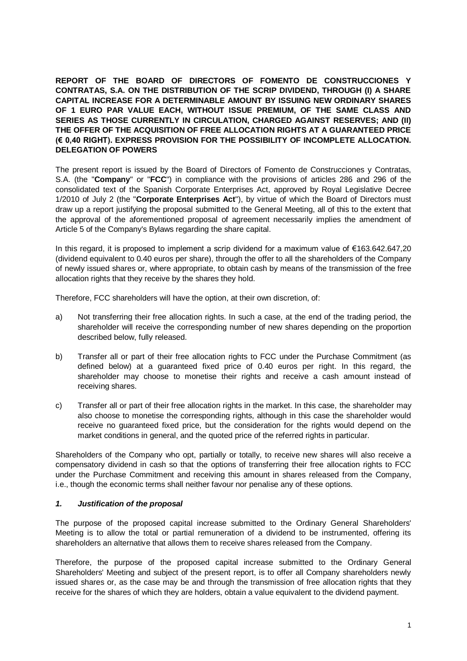**REPORT OF THE BOARD OF DIRECTORS OF FOMENTO DE CONSTRUCCIONES Y CONTRATAS, S.A. ON THE DISTRIBUTION OF THE SCRIP DIVIDEND, THROUGH (I) A SHARE CAPITAL INCREASE FOR A DETERMINABLE AMOUNT BY ISSUING NEW ORDINARY SHARES OF 1 EURO PAR VALUE EACH, WITHOUT ISSUE PREMIUM, OF THE SAME CLASS AND SERIES AS THOSE CURRENTLY IN CIRCULATION, CHARGED AGAINST RESERVES; AND (II) THE OFFER OF THE ACQUISITION OF FREE ALLOCATION RIGHTS AT A GUARANTEED PRICE (€ 0,40 RIGHT). EXPRESS PROVISION FOR THE POSSIBILITY OF INCOMPLETE ALLOCATION. DELEGATION OF POWERS**

The present report is issued by the Board of Directors of Fomento de Construcciones y Contratas, S.A. (the "**Company**" or "**FCC**") in compliance with the provisions of articles 286 and 296 of the consolidated text of the Spanish Corporate Enterprises Act, approved by Royal Legislative Decree 1/2010 of July 2 (the "**Corporate Enterprises Act**"), by virtue of which the Board of Directors must draw up a report justifying the proposal submitted to the General Meeting, all of this to the extent that the approval of the aforementioned proposal of agreement necessarily implies the amendment of Article 5 of the Company's Bylaws regarding the share capital.

In this regard, it is proposed to implement a scrip dividend for a maximum value of €163.642.647,20 (dividend equivalent to 0.40 euros per share), through the offer to all the shareholders of the Company of newly issued shares or, where appropriate, to obtain cash by means of the transmission of the free allocation rights that they receive by the shares they hold.

Therefore, FCC shareholders will have the option, at their own discretion, of:

- a) Not transferring their free allocation rights. In such a case, at the end of the trading period, the shareholder will receive the corresponding number of new shares depending on the proportion described below, fully released.
- b) Transfer all or part of their free allocation rights to FCC under the Purchase Commitment (as defined below) at a guaranteed fixed price of 0.40 euros per right. In this regard, the shareholder may choose to monetise their rights and receive a cash amount instead of receiving shares.
- c) Transfer all or part of their free allocation rights in the market. In this case, the shareholder may also choose to monetise the corresponding rights, although in this case the shareholder would receive no guaranteed fixed price, but the consideration for the rights would depend on the market conditions in general, and the quoted price of the referred rights in particular.

Shareholders of the Company who opt, partially or totally, to receive new shares will also receive a compensatory dividend in cash so that the options of transferring their free allocation rights to FCC under the Purchase Commitment and receiving this amount in shares released from the Company, i.e., though the economic terms shall neither favour nor penalise any of these options.

### *1. Justification of the proposal*

The purpose of the proposed capital increase submitted to the Ordinary General Shareholders' Meeting is to allow the total or partial remuneration of a dividend to be instrumented, offering its shareholders an alternative that allows them to receive shares released from the Company.

Therefore, the purpose of the proposed capital increase submitted to the Ordinary General Shareholders' Meeting and subject of the present report, is to offer all Company shareholders newly issued shares or, as the case may be and through the transmission of free allocation rights that they receive for the shares of which they are holders, obtain a value equivalent to the dividend payment.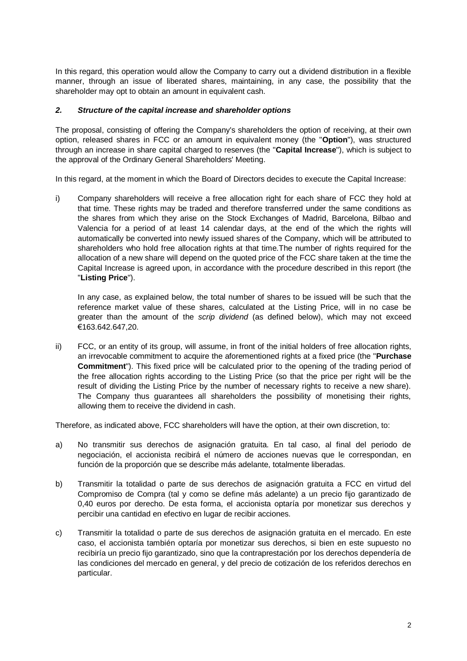In this regard, this operation would allow the Company to carry out a dividend distribution in a flexible manner, through an issue of liberated shares, maintaining, in any case, the possibility that the shareholder may opt to obtain an amount in equivalent cash.

### *2. Structure of the capital increase and shareholder options*

The proposal, consisting of offering the Company's shareholders the option of receiving, at their own option, released shares in FCC or an amount in equivalent money (the "**Option**"), was structured through an increase in share capital charged to reserves (the "**Capital Increase**"), which is subject to the approval of the Ordinary General Shareholders' Meeting.

In this regard, at the moment in which the Board of Directors decides to execute the Capital Increase:

i) Company shareholders will receive a free allocation right for each share of FCC they hold at that time. These rights may be traded and therefore transferred under the same conditions as the shares from which they arise on the Stock Exchanges of Madrid, Barcelona, Bilbao and Valencia for a period of at least 14 calendar days, at the end of the which the rights will automatically be converted into newly issued shares of the Company, which will be attributed to shareholders who hold free allocation rights at that time.The number of rights required for the allocation of a new share will depend on the quoted price of the FCC share taken at the time the Capital Increase is agreed upon, in accordance with the procedure described in this report (the "**Listing Price**").

In any case, as explained below, the total number of shares to be issued will be such that the reference market value of these shares, calculated at the Listing Price, will in no case be greater than the amount of the *scrip dividend* (as defined below), which may not exceed €163.642.647,20.

ii) FCC, or an entity of its group, will assume, in front of the initial holders of free allocation rights, an irrevocable commitment to acquire the aforementioned rights at a fixed price (the "**Purchase Commitment**"). This fixed price will be calculated prior to the opening of the trading period of the free allocation rights according to the Listing Price (so that the price per right will be the result of dividing the Listing Price by the number of necessary rights to receive a new share). The Company thus guarantees all shareholders the possibility of monetising their rights, allowing them to receive the dividend in cash.

Therefore, as indicated above, FCC shareholders will have the option, at their own discretion, to:

- a) No transmitir sus derechos de asignación gratuita. En tal caso, al final del periodo de negociación, el accionista recibirá el número de acciones nuevas que le correspondan, en función de la proporción que se describe más adelante, totalmente liberadas.
- b) Transmitir la totalidad o parte de sus derechos de asignación gratuita a FCC en virtud del Compromiso de Compra (tal y como se define más adelante) a un precio fijo garantizado de 0,40 euros por derecho. De esta forma, el accionista optaría por monetizar sus derechos y percibir una cantidad en efectivo en lugar de recibir acciones.
- c) Transmitir la totalidad o parte de sus derechos de asignación gratuita en el mercado. En este caso, el accionista también optaría por monetizar sus derechos, si bien en este supuesto no recibiría un precio fijo garantizado, sino que la contraprestación por los derechos dependería de las condiciones del mercado en general, y del precio de cotización de los referidos derechos en particular.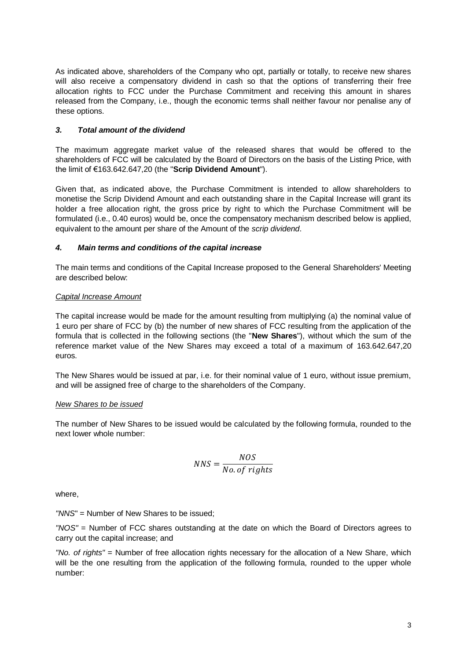As indicated above, shareholders of the Company who opt, partially or totally, to receive new shares will also receive a compensatory dividend in cash so that the options of transferring their free allocation rights to FCC under the Purchase Commitment and receiving this amount in shares released from the Company, i.e., though the economic terms shall neither favour nor penalise any of these options.

## *3. Total amount of the dividend*

The maximum aggregate market value of the released shares that would be offered to the shareholders of FCC will be calculated by the Board of Directors on the basis of the Listing Price, with the limit of €163.642.647,20 (the "**Scrip Dividend Amount**").

Given that, as indicated above, the Purchase Commitment is intended to allow shareholders to monetise the Scrip Dividend Amount and each outstanding share in the Capital Increase will grant its holder a free allocation right, the gross price by right to which the Purchase Commitment will be formulated (i.e., 0.40 euros) would be, once the compensatory mechanism described below is applied, equivalent to the amount per share of the Amount of the *scrip dividend*.

#### *4. Main terms and conditions of the capital increase*

The main terms and conditions of the Capital Increase proposed to the General Shareholders' Meeting are described below:

## *Capital Increase Amount*

The capital increase would be made for the amount resulting from multiplying (a) the nominal value of 1 euro per share of FCC by (b) the number of new shares of FCC resulting from the application of the formula that is collected in the following sections (the "**New Shares**"), without which the sum of the reference market value of the New Shares may exceed a total of a maximum of 163.642.647,20 euros.

The New Shares would be issued at par, i.e. for their nominal value of 1 euro, without issue premium, and will be assigned free of charge to the shareholders of the Company.

#### *New Shares to be issued*

The number of New Shares to be issued would be calculated by the following formula, rounded to the next lower whole number:

$$
NNS = \frac{NOS}{No. \, of \, rights}
$$

where,

*"NNS*" = Number of New Shares to be issued;

*"NOS"* = Number of FCC shares outstanding at the date on which the Board of Directors agrees to carry out the capital increase; and

*"No. of rights"* = Number of free allocation rights necessary for the allocation of a New Share, which will be the one resulting from the application of the following formula, rounded to the upper whole number: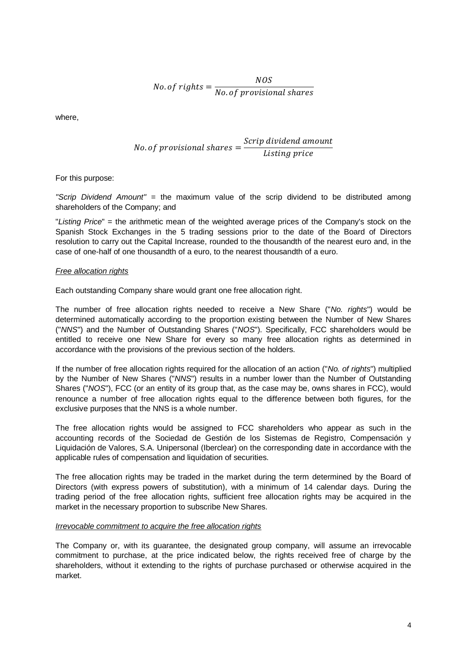$No. of rights =$ NOS No. of provisional shares

where,

No. of provisional shares 
$$
=
$$
  $\frac{Script\ dividend\ amount}{Listing\ price}$ 

For this purpose:

*"Scrip Dividend Amount"* = the maximum value of the scrip dividend to be distributed among shareholders of the Company; and

"*Listing Price*" = the arithmetic mean of the weighted average prices of the Company's stock on the Spanish Stock Exchanges in the 5 trading sessions prior to the date of the Board of Directors resolution to carry out the Capital Increase, rounded to the thousandth of the nearest euro and, in the case of one-half of one thousandth of a euro, to the nearest thousandth of a euro.

#### *Free allocation rights*

Each outstanding Company share would grant one free allocation right.

The number of free allocation rights needed to receive a New Share ("*No. rights*") would be determined automatically according to the proportion existing between the Number of New Shares ("*NNS*") and the Number of Outstanding Shares ("*NOS*"). Specifically, FCC shareholders would be entitled to receive one New Share for every so many free allocation rights as determined in accordance with the provisions of the previous section of the holders.

If the number of free allocation rights required for the allocation of an action ("*No. of rights*") multiplied by the Number of New Shares ("*NNS*") results in a number lower than the Number of Outstanding Shares ("*NOS*"), FCC (or an entity of its group that, as the case may be, owns shares in FCC), would renounce a number of free allocation rights equal to the difference between both figures, for the exclusive purposes that the NNS is a whole number.

The free allocation rights would be assigned to FCC shareholders who appear as such in the accounting records of the Sociedad de Gestión de los Sistemas de Registro, Compensación y Liquidación de Valores, S.A. Unipersonal (Iberclear) on the corresponding date in accordance with the applicable rules of compensation and liquidation of securities.

The free allocation rights may be traded in the market during the term determined by the Board of Directors (with express powers of substitution), with a minimum of 14 calendar days. During the trading period of the free allocation rights, sufficient free allocation rights may be acquired in the market in the necessary proportion to subscribe New Shares.

#### *Irrevocable commitment to acquire the free allocation rights*

The Company or, with its guarantee, the designated group company, will assume an irrevocable commitment to purchase, at the price indicated below, the rights received free of charge by the shareholders, without it extending to the rights of purchase purchased or otherwise acquired in the market.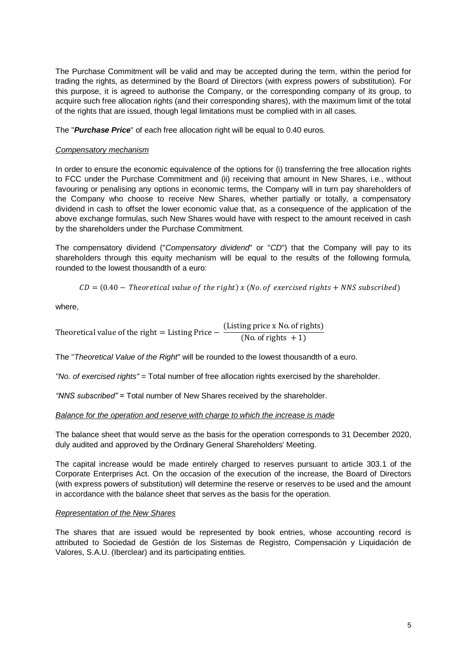The Purchase Commitment will be valid and may be accepted during the term, within the period for trading the rights, as determined by the Board of Directors (with express powers of substitution). For this purpose, it is agreed to authorise the Company, or the corresponding company of its group, to acquire such free allocation rights (and their corresponding shares), with the maximum limit of the total of the rights that are issued, though legal limitations must be complied with in all cases.

The "*Purchase Price*" of each free allocation right will be equal to 0.40 euros.

# *Compensatory mechanism*

In order to ensure the economic equivalence of the options for (i) transferring the free allocation rights to FCC under the Purchase Commitment and (ii) receiving that amount in New Shares, i.e., without favouring or penalising any options in economic terms, the Company will in turn pay shareholders of the Company who choose to receive New Shares, whether partially or totally, a compensatory dividend in cash to offset the lower economic value that, as a consequence of the application of the above exchange formulas, such New Shares would have with respect to the amount received in cash by the shareholders under the Purchase Commitment.

The compensatory dividend ("*Compensatory dividend*" or "*CD*") that the Company will pay to its shareholders through this equity mechanism will be equal to the results of the following formula, rounded to the lowest thousandth of a euro:

$$
CD = (0.40 - Theoretical value of the right) x (No. of exercised rights + NNS subscribed)
$$

where,

Theoretical value of the right = Listing Price  $-\frac{(\text{Listing price x No. of rights})}{(\text{Next. } \text{Let } +1)}$ (No. of rights  $+1$ )

The "*Theoretical Value of the Right*" will be rounded to the lowest thousandth of a euro.

*"No. of exercised rights"* = Total number of free allocation rights exercised by the shareholder.

*"NNS subscribed" =* Total number of New Shares received by the shareholder.

#### *Balance for the operation and reserve with charge to which the increase is made*

The balance sheet that would serve as the basis for the operation corresponds to 31 December 2020, duly audited and approved by the Ordinary General Shareholders' Meeting.

The capital increase would be made entirely charged to reserves pursuant to article 303.1 of the Corporate Enterprises Act. On the occasion of the execution of the increase, the Board of Directors (with express powers of substitution) will determine the reserve or reserves to be used and the amount in accordance with the balance sheet that serves as the basis for the operation.

#### *Representation of the New Shares*

The shares that are issued would be represented by book entries, whose accounting record is attributed to Sociedad de Gestión de los Sistemas de Registro, Compensación y Liquidación de Valores, S.A.U. (Iberclear) and its participating entities.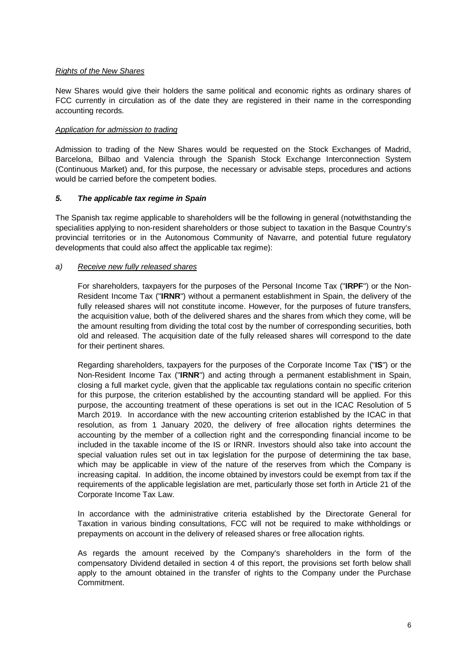### *Rights of the New Shares*

New Shares would give their holders the same political and economic rights as ordinary shares of FCC currently in circulation as of the date they are registered in their name in the corresponding accounting records.

### *Application for admission to trading*

Admission to trading of the New Shares would be requested on the Stock Exchanges of Madrid, Barcelona, Bilbao and Valencia through the Spanish Stock Exchange Interconnection System (Continuous Market) and, for this purpose, the necessary or advisable steps, procedures and actions would be carried before the competent bodies.

## *5. The applicable tax regime in Spain*

The Spanish tax regime applicable to shareholders will be the following in general (notwithstanding the specialities applying to non-resident shareholders or those subject to taxation in the Basque Country's provincial territories or in the Autonomous Community of Navarre, and potential future regulatory developments that could also affect the applicable tax regime):

## *a) Receive new fully released shares*

For shareholders, taxpayers for the purposes of the Personal Income Tax ("**IRPF**") or the Non-Resident Income Tax ("**IRNR**") without a permanent establishment in Spain, the delivery of the fully released shares will not constitute income. However, for the purposes of future transfers, the acquisition value, both of the delivered shares and the shares from which they come, will be the amount resulting from dividing the total cost by the number of corresponding securities, both old and released. The acquisition date of the fully released shares will correspond to the date for their pertinent shares.

Regarding shareholders, taxpayers for the purposes of the Corporate Income Tax ("**IS**") or the Non-Resident Income Tax ("**IRNR**") and acting through a permanent establishment in Spain, closing a full market cycle, given that the applicable tax regulations contain no specific criterion for this purpose, the criterion established by the accounting standard will be applied. For this purpose, the accounting treatment of these operations is set out in the ICAC Resolution of 5 March 2019. In accordance with the new accounting criterion established by the ICAC in that resolution, as from 1 January 2020, the delivery of free allocation rights determines the accounting by the member of a collection right and the corresponding financial income to be included in the taxable income of the IS or IRNR. Investors should also take into account the special valuation rules set out in tax legislation for the purpose of determining the tax base, which may be applicable in view of the nature of the reserves from which the Company is increasing capital. In addition, the income obtained by investors could be exempt from tax if the requirements of the applicable legislation are met, particularly those set forth in Article 21 of the Corporate Income Tax Law.

In accordance with the administrative criteria established by the Directorate General for Taxation in various binding consultations, FCC will not be required to make withholdings or prepayments on account in the delivery of released shares or free allocation rights.

As regards the amount received by the Company's shareholders in the form of the compensatory Dividend detailed in section 4 of this report, the provisions set forth below shall apply to the amount obtained in the transfer of rights to the Company under the Purchase **Commitment**